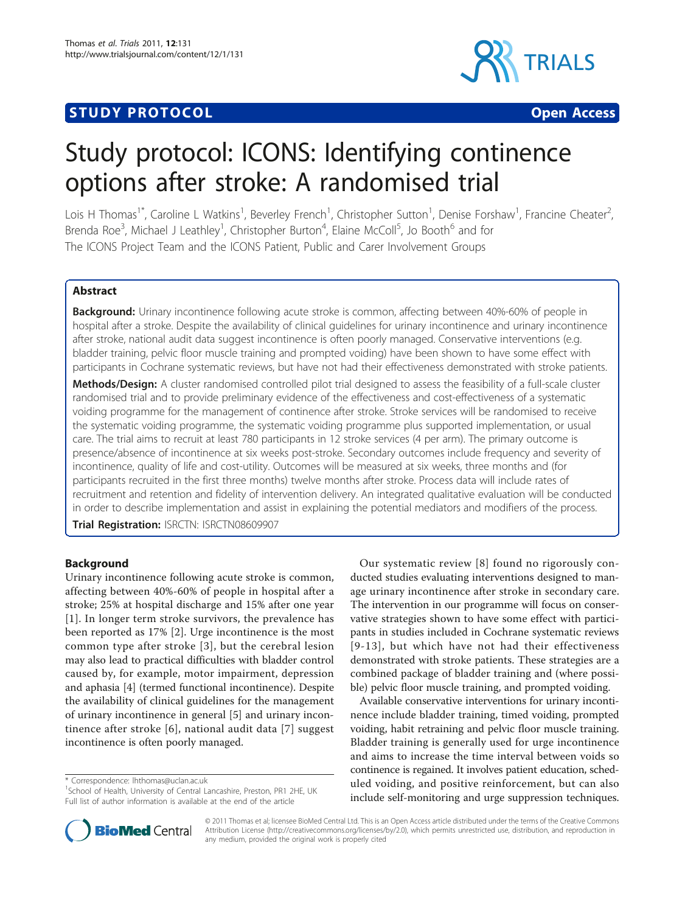# **STUDY PROTOCOL CONSUMING THE CONSUMING OPEN ACCESS**



# Study protocol: ICONS: Identifying continence options after stroke: A randomised trial

Lois H Thomas<sup>1\*</sup>, Caroline L Watkins<sup>1</sup>, Beverley French<sup>1</sup>, Christopher Sutton<sup>1</sup>, Denise Forshaw<sup>1</sup>, Francine Cheater<sup>2</sup> .<br>, Brenda Roe<sup>3</sup>, Michael J Leathley<sup>1</sup>, Christopher Burton<sup>4</sup>, Elaine McColl<sup>5</sup>, Jo Booth<sup>6</sup> and for The ICONS Project Team and the ICONS Patient, Public and Carer Involvement Groups

# Abstract

Background: Urinary incontinence following acute stroke is common, affecting between 40%-60% of people in hospital after a stroke. Despite the availability of clinical guidelines for urinary incontinence and urinary incontinence after stroke, national audit data suggest incontinence is often poorly managed. Conservative interventions (e.g. bladder training, pelvic floor muscle training and prompted voiding) have been shown to have some effect with participants in Cochrane systematic reviews, but have not had their effectiveness demonstrated with stroke patients.

Methods/Design: A cluster randomised controlled pilot trial designed to assess the feasibility of a full-scale cluster randomised trial and to provide preliminary evidence of the effectiveness and cost-effectiveness of a systematic voiding programme for the management of continence after stroke. Stroke services will be randomised to receive the systematic voiding programme, the systematic voiding programme plus supported implementation, or usual care. The trial aims to recruit at least 780 participants in 12 stroke services (4 per arm). The primary outcome is presence/absence of incontinence at six weeks post-stroke. Secondary outcomes include frequency and severity of incontinence, quality of life and cost-utility. Outcomes will be measured at six weeks, three months and (for participants recruited in the first three months) twelve months after stroke. Process data will include rates of recruitment and retention and fidelity of intervention delivery. An integrated qualitative evaluation will be conducted in order to describe implementation and assist in explaining the potential mediators and modifiers of the process.

Trial Registration: ISRCTN: [ISRCTN08609907](http://www.controlled-trials.com/ISRCTN08609907)

## Background

Urinary incontinence following acute stroke is common, affecting between 40%-60% of people in hospital after a stroke; 25% at hospital discharge and 15% after one year [[1](#page-7-0)]. In longer term stroke survivors, the prevalence has been reported as 17% [[2\]](#page-7-0). Urge incontinence is the most common type after stroke [[3](#page-7-0)], but the cerebral lesion may also lead to practical difficulties with bladder control caused by, for example, motor impairment, depression and aphasia [\[4](#page-7-0)] (termed functional incontinence). Despite the availability of clinical guidelines for the management of urinary incontinence in general [[5](#page-7-0)] and urinary incontinence after stroke [[6\]](#page-7-0), national audit data [[7\]](#page-7-0) suggest incontinence is often poorly managed.

\* Correspondence: [lhthomas@uclan.ac.uk](mailto:lhthomas@uclan.ac.uk)



Available conservative interventions for urinary incontinence include bladder training, timed voiding, prompted voiding, habit retraining and pelvic floor muscle training. Bladder training is generally used for urge incontinence and aims to increase the time interval between voids so continence is regained. It involves patient education, scheduled voiding, and positive reinforcement, but can also include self-monitoring and urge suppression techniques.



© 2011 Thomas et al; licensee BioMed Central Ltd. This is an Open Access article distributed under the terms of the Creative Commons Attribution License [\(http://creativecommons.org/licenses/by/2.0](http://creativecommons.org/licenses/by/2.0)), which permits unrestricted use, distribution, and reproduction in any medium, provided the original work is properly cited

<sup>&</sup>lt;sup>1</sup>School of Health, University of Central Lancashire, Preston, PR1 2HE, UK Full list of author information is available at the end of the article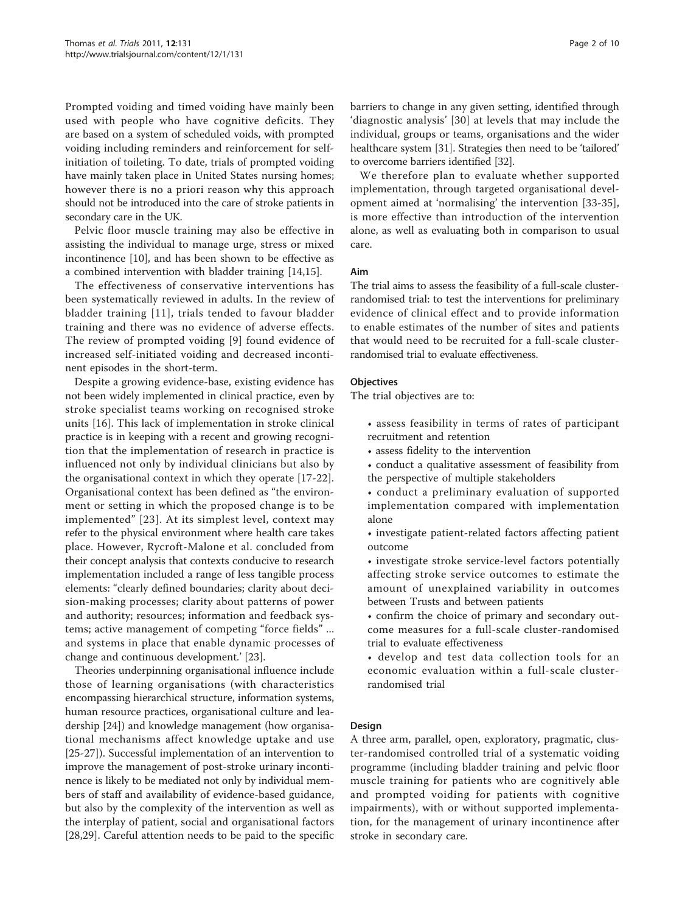Prompted voiding and timed voiding have mainly been used with people who have cognitive deficits. They are based on a system of scheduled voids, with prompted voiding including reminders and reinforcement for selfinitiation of toileting. To date, trials of prompted voiding have mainly taken place in United States nursing homes; however there is no a priori reason why this approach should not be introduced into the care of stroke patients in secondary care in the UK.

Pelvic floor muscle training may also be effective in assisting the individual to manage urge, stress or mixed incontinence [[10](#page-7-0)], and has been shown to be effective as a combined intervention with bladder training [\[14,15](#page-7-0)].

The effectiveness of conservative interventions has been systematically reviewed in adults. In the review of bladder training [[11](#page-7-0)], trials tended to favour bladder training and there was no evidence of adverse effects. The review of prompted voiding [\[9](#page-7-0)] found evidence of increased self-initiated voiding and decreased incontinent episodes in the short-term.

Despite a growing evidence-base, existing evidence has not been widely implemented in clinical practice, even by stroke specialist teams working on recognised stroke units [\[16](#page-7-0)]. This lack of implementation in stroke clinical practice is in keeping with a recent and growing recognition that the implementation of research in practice is influenced not only by individual clinicians but also by the organisational context in which they operate [[17-](#page-7-0)[22](#page-8-0)]. Organisational context has been defined as "the environment or setting in which the proposed change is to be implemented" [[23](#page-8-0)]. At its simplest level, context may refer to the physical environment where health care takes place. However, Rycroft-Malone et al. concluded from their concept analysis that contexts conducive to research implementation included a range of less tangible process elements: "clearly defined boundaries; clarity about decision-making processes; clarity about patterns of power and authority; resources; information and feedback systems; active management of competing "force fields" ... and systems in place that enable dynamic processes of change and continuous development.' [[23\]](#page-8-0).

Theories underpinning organisational influence include those of learning organisations (with characteristics encompassing hierarchical structure, information systems, human resource practices, organisational culture and leadership [[24](#page-8-0)]) and knowledge management (how organisational mechanisms affect knowledge uptake and use [[25-27\]](#page-8-0)). Successful implementation of an intervention to improve the management of post-stroke urinary incontinence is likely to be mediated not only by individual members of staff and availability of evidence-based guidance, but also by the complexity of the intervention as well as the interplay of patient, social and organisational factors [[28,29\]](#page-8-0). Careful attention needs to be paid to the specific

barriers to change in any given setting, identified through 'diagnostic analysis' [\[30\]](#page-8-0) at levels that may include the individual, groups or teams, organisations and the wider healthcare system [\[31\]](#page-8-0). Strategies then need to be 'tailored' to overcome barriers identified [\[32\]](#page-8-0).

We therefore plan to evaluate whether supported implementation, through targeted organisational development aimed at 'normalising' the intervention [[33-35](#page-8-0)], is more effective than introduction of the intervention alone, as well as evaluating both in comparison to usual care.

#### Aim

The trial aims to assess the feasibility of a full-scale clusterrandomised trial: to test the interventions for preliminary evidence of clinical effect and to provide information to enable estimates of the number of sites and patients that would need to be recruited for a full-scale clusterrandomised trial to evaluate effectiveness.

#### **Objectives**

The trial objectives are to:

- assess feasibility in terms of rates of participant recruitment and retention
- assess fidelity to the intervention
- conduct a qualitative assessment of feasibility from the perspective of multiple stakeholders
- conduct a preliminary evaluation of supported implementation compared with implementation alone
- investigate patient-related factors affecting patient outcome
- investigate stroke service-level factors potentially affecting stroke service outcomes to estimate the amount of unexplained variability in outcomes between Trusts and between patients
- confirm the choice of primary and secondary outcome measures for a full-scale cluster-randomised trial to evaluate effectiveness
- develop and test data collection tools for an economic evaluation within a full-scale clusterrandomised trial

#### Design

A three arm, parallel, open, exploratory, pragmatic, cluster-randomised controlled trial of a systematic voiding programme (including bladder training and pelvic floor muscle training for patients who are cognitively able and prompted voiding for patients with cognitive impairments), with or without supported implementation, for the management of urinary incontinence after stroke in secondary care.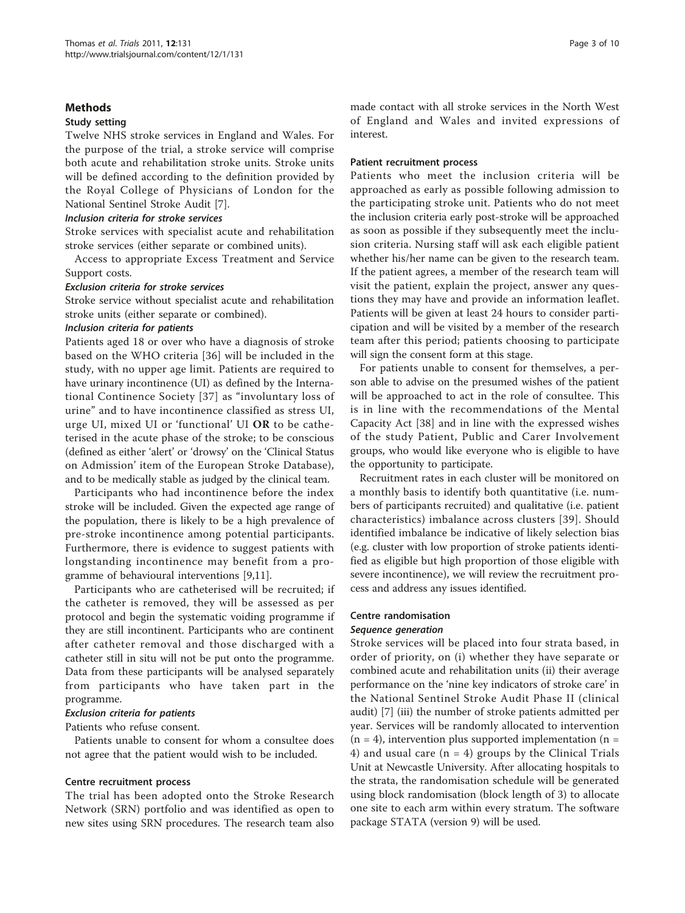#### Methods

#### Study setting

Twelve NHS stroke services in England and Wales. For the purpose of the trial, a stroke service will comprise both acute and rehabilitation stroke units. Stroke units will be defined according to the definition provided by the Royal College of Physicians of London for the National Sentinel Stroke Audit [[7\]](#page-7-0).

#### Inclusion criteria for stroke services

Stroke services with specialist acute and rehabilitation stroke services (either separate or combined units).

Access to appropriate Excess Treatment and Service Support costs.

#### Exclusion criteria for stroke services

Stroke service without specialist acute and rehabilitation stroke units (either separate or combined).

# Inclusion criteria for patients

Patients aged 18 or over who have a diagnosis of stroke based on the WHO criteria [[36](#page-8-0)] will be included in the study, with no upper age limit. Patients are required to have urinary incontinence (UI) as defined by the International Continence Society [[37\]](#page-8-0) as "involuntary loss of urine" and to have incontinence classified as stress UI, urge UI, mixed UI or 'functional' UI OR to be catheterised in the acute phase of the stroke; to be conscious (defined as either 'alert' or 'drowsy' on the 'Clinical Status on Admission' item of the European Stroke Database), and to be medically stable as judged by the clinical team.

Participants who had incontinence before the index stroke will be included. Given the expected age range of the population, there is likely to be a high prevalence of pre-stroke incontinence among potential participants. Furthermore, there is evidence to suggest patients with longstanding incontinence may benefit from a programme of behavioural interventions [[9,11](#page-7-0)].

Participants who are catheterised will be recruited; if the catheter is removed, they will be assessed as per protocol and begin the systematic voiding programme if they are still incontinent. Participants who are continent after catheter removal and those discharged with a catheter still in situ will not be put onto the programme. Data from these participants will be analysed separately from participants who have taken part in the programme.

## Exclusion criteria for patients

Patients who refuse consent.

Patients unable to consent for whom a consultee does not agree that the patient would wish to be included.

## Centre recruitment process

The trial has been adopted onto the Stroke Research Network (SRN) portfolio and was identified as open to new sites using SRN procedures. The research team also made contact with all stroke services in the North West of England and Wales and invited expressions of interest.

#### Patient recruitment process

Patients who meet the inclusion criteria will be approached as early as possible following admission to the participating stroke unit. Patients who do not meet the inclusion criteria early post-stroke will be approached as soon as possible if they subsequently meet the inclusion criteria. Nursing staff will ask each eligible patient whether his/her name can be given to the research team. If the patient agrees, a member of the research team will visit the patient, explain the project, answer any questions they may have and provide an information leaflet. Patients will be given at least 24 hours to consider participation and will be visited by a member of the research team after this period; patients choosing to participate will sign the consent form at this stage.

For patients unable to consent for themselves, a person able to advise on the presumed wishes of the patient will be approached to act in the role of consultee. This is in line with the recommendations of the Mental Capacity Act [[38\]](#page-8-0) and in line with the expressed wishes of the study Patient, Public and Carer Involvement groups, who would like everyone who is eligible to have the opportunity to participate.

Recruitment rates in each cluster will be monitored on a monthly basis to identify both quantitative (i.e. numbers of participants recruited) and qualitative (i.e. patient characteristics) imbalance across clusters [[39\]](#page-8-0). Should identified imbalance be indicative of likely selection bias (e.g. cluster with low proportion of stroke patients identified as eligible but high proportion of those eligible with severe incontinence), we will review the recruitment process and address any issues identified.

## Centre randomisation

#### Sequence generation

Stroke services will be placed into four strata based, in order of priority, on (i) whether they have separate or combined acute and rehabilitation units (ii) their average performance on the 'nine key indicators of stroke care' in the National Sentinel Stroke Audit Phase II (clinical audit) [[7](#page-7-0)] (iii) the number of stroke patients admitted per year. Services will be randomly allocated to intervention  $(n = 4)$ , intervention plus supported implementation  $(n = 1)$ 4) and usual care (n = 4) groups by the Clinical Trials Unit at Newcastle University. After allocating hospitals to the strata, the randomisation schedule will be generated using block randomisation (block length of 3) to allocate one site to each arm within every stratum. The software package STATA (version 9) will be used.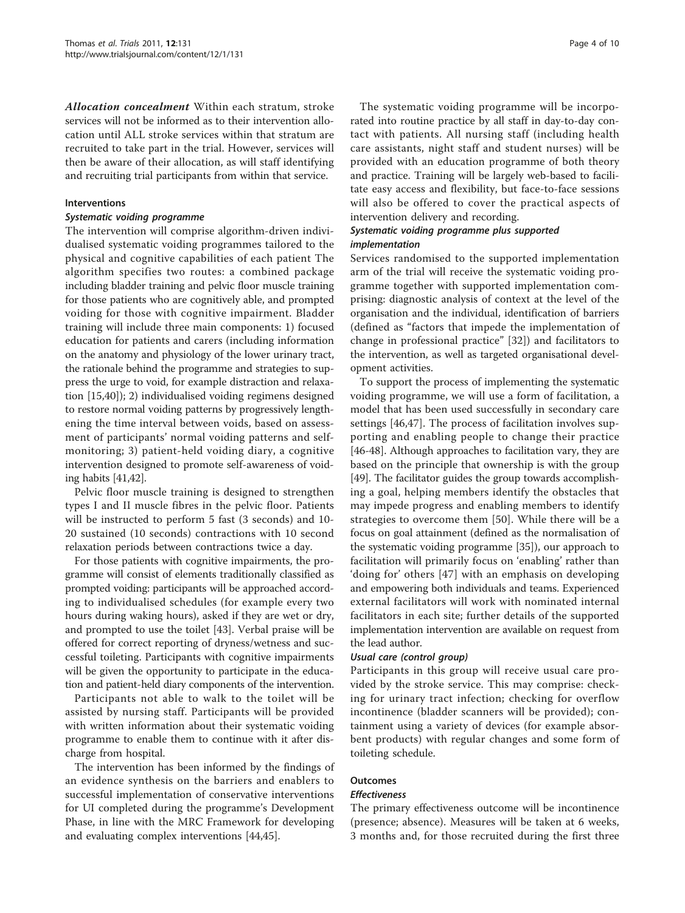Allocation concealment Within each stratum, stroke services will not be informed as to their intervention allocation until ALL stroke services within that stratum are recruited to take part in the trial. However, services will then be aware of their allocation, as will staff identifying and recruiting trial participants from within that service.

#### Interventions

#### Systematic voiding programme

The intervention will comprise algorithm-driven individualised systematic voiding programmes tailored to the physical and cognitive capabilities of each patient The algorithm specifies two routes: a combined package including bladder training and pelvic floor muscle training for those patients who are cognitively able, and prompted voiding for those with cognitive impairment. Bladder training will include three main components: 1) focused education for patients and carers (including information on the anatomy and physiology of the lower urinary tract, the rationale behind the programme and strategies to suppress the urge to void, for example distraction and relaxation [[15,](#page-7-0)[40\]](#page-8-0)); 2) individualised voiding regimens designed to restore normal voiding patterns by progressively lengthening the time interval between voids, based on assessment of participants' normal voiding patterns and selfmonitoring; 3) patient-held voiding diary, a cognitive intervention designed to promote self-awareness of voiding habits [\[41,42](#page-8-0)].

Pelvic floor muscle training is designed to strengthen types I and II muscle fibres in the pelvic floor. Patients will be instructed to perform 5 fast (3 seconds) and 10- 20 sustained (10 seconds) contractions with 10 second relaxation periods between contractions twice a day.

For those patients with cognitive impairments, the programme will consist of elements traditionally classified as prompted voiding: participants will be approached according to individualised schedules (for example every two hours during waking hours), asked if they are wet or dry, and prompted to use the toilet [[43](#page-8-0)]. Verbal praise will be offered for correct reporting of dryness/wetness and successful toileting. Participants with cognitive impairments will be given the opportunity to participate in the education and patient-held diary components of the intervention.

Participants not able to walk to the toilet will be assisted by nursing staff. Participants will be provided with written information about their systematic voiding programme to enable them to continue with it after discharge from hospital.

The intervention has been informed by the findings of an evidence synthesis on the barriers and enablers to successful implementation of conservative interventions for UI completed during the programme's Development Phase, in line with the MRC Framework for developing and evaluating complex interventions [[44](#page-8-0),[45](#page-8-0)].

The systematic voiding programme will be incorporated into routine practice by all staff in day-to-day contact with patients. All nursing staff (including health care assistants, night staff and student nurses) will be provided with an education programme of both theory and practice. Training will be largely web-based to facilitate easy access and flexibility, but face-to-face sessions will also be offered to cover the practical aspects of intervention delivery and recording.

# Systematic voiding programme plus supported implementation

Services randomised to the supported implementation arm of the trial will receive the systematic voiding programme together with supported implementation comprising: diagnostic analysis of context at the level of the organisation and the individual, identification of barriers (defined as "factors that impede the implementation of change in professional practice" [[32\]](#page-8-0)) and facilitators to the intervention, as well as targeted organisational development activities.

To support the process of implementing the systematic voiding programme, we will use a form of facilitation, a model that has been used successfully in secondary care settings [\[46](#page-8-0),[47\]](#page-8-0). The process of facilitation involves supporting and enabling people to change their practice [[46-48\]](#page-8-0). Although approaches to facilitation vary, they are based on the principle that ownership is with the group [[49](#page-8-0)]. The facilitator guides the group towards accomplishing a goal, helping members identify the obstacles that may impede progress and enabling members to identify strategies to overcome them [[50](#page-8-0)]. While there will be a focus on goal attainment (defined as the normalisation of the systematic voiding programme [[35\]](#page-8-0)), our approach to facilitation will primarily focus on 'enabling' rather than 'doing for' others [[47\]](#page-8-0) with an emphasis on developing and empowering both individuals and teams. Experienced external facilitators will work with nominated internal facilitators in each site; further details of the supported implementation intervention are available on request from the lead author.

## Usual care (control group)

Participants in this group will receive usual care provided by the stroke service. This may comprise: checking for urinary tract infection; checking for overflow incontinence (bladder scanners will be provided); containment using a variety of devices (for example absorbent products) with regular changes and some form of toileting schedule.

# **Outcomes**

## Effectiveness

The primary effectiveness outcome will be incontinence (presence; absence). Measures will be taken at 6 weeks, 3 months and, for those recruited during the first three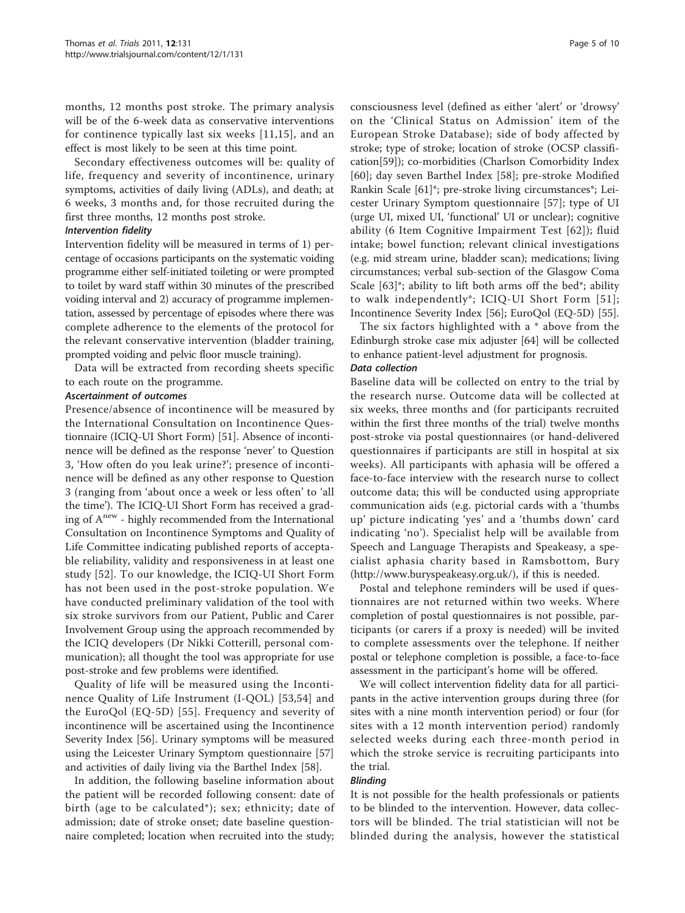months, 12 months post stroke. The primary analysis will be of the 6-week data as conservative interventions for continence typically last six weeks [[11](#page-7-0),[15\]](#page-7-0), and an effect is most likely to be seen at this time point.

Secondary effectiveness outcomes will be: quality of life, frequency and severity of incontinence, urinary symptoms, activities of daily living (ADLs), and death; at 6 weeks, 3 months and, for those recruited during the first three months, 12 months post stroke.

#### Intervention fidelity

Intervention fidelity will be measured in terms of 1) percentage of occasions participants on the systematic voiding programme either self-initiated toileting or were prompted to toilet by ward staff within 30 minutes of the prescribed voiding interval and 2) accuracy of programme implementation, assessed by percentage of episodes where there was complete adherence to the elements of the protocol for the relevant conservative intervention (bladder training, prompted voiding and pelvic floor muscle training).

Data will be extracted from recording sheets specific to each route on the programme.

#### Ascertainment of outcomes

Presence/absence of incontinence will be measured by the International Consultation on Incontinence Questionnaire (ICIQ-UI Short Form) [[51\]](#page-8-0). Absence of incontinence will be defined as the response 'never' to Question 3, 'How often do you leak urine?'; presence of incontinence will be defined as any other response to Question 3 (ranging from 'about once a week or less often' to 'all the time'). The ICIQ-UI Short Form has received a grading of  $A^{new}$  - highly recommended from the International Consultation on Incontinence Symptoms and Quality of Life Committee indicating published reports of acceptable reliability, validity and responsiveness in at least one study [[52\]](#page-8-0). To our knowledge, the ICIQ-UI Short Form has not been used in the post-stroke population. We have conducted preliminary validation of the tool with six stroke survivors from our Patient, Public and Carer Involvement Group using the approach recommended by the ICIQ developers (Dr Nikki Cotterill, personal communication); all thought the tool was appropriate for use post-stroke and few problems were identified.

Quality of life will be measured using the Incontinence Quality of Life Instrument (I-QOL) [\[53,54](#page-8-0)] and the EuroQol (EQ-5D) [\[55\]](#page-8-0). Frequency and severity of incontinence will be ascertained using the Incontinence Severity Index [[56\]](#page-8-0). Urinary symptoms will be measured using the Leicester Urinary Symptom questionnaire [[57](#page-8-0)] and activities of daily living via the Barthel Index [[58\]](#page-8-0).

In addition, the following baseline information about the patient will be recorded following consent: date of birth (age to be calculated\*); sex; ethnicity; date of admission; date of stroke onset; date baseline questionnaire completed; location when recruited into the study; consciousness level (defined as either 'alert' or 'drowsy' on the 'Clinical Status on Admission' item of the European Stroke Database); side of body affected by stroke; type of stroke; location of stroke (OCSP classification[[59\]](#page-8-0)); co-morbidities (Charlson Comorbidity Index [[60](#page-8-0)]; day seven Barthel Index [\[58](#page-8-0)]; pre-stroke Modified Rankin Scale [[61](#page-8-0)]\*; pre-stroke living circumstances\*; Leicester Urinary Symptom questionnaire [[57](#page-8-0)]; type of UI (urge UI, mixed UI, 'functional' UI or unclear); cognitive ability (6 Item Cognitive Impairment Test [[62](#page-8-0)]); fluid intake; bowel function; relevant clinical investigations (e.g. mid stream urine, bladder scan); medications; living circumstances; verbal sub-section of the Glasgow Coma Scale [[63\]](#page-8-0)\*; ability to lift both arms off the bed\*; ability to walk independently\*; ICIQ-UI Short Form [[51\]](#page-8-0); Incontinence Severity Index [[56](#page-8-0)]; EuroQol (EQ-5D) [\[55](#page-8-0)].

The six factors highlighted with a \* above from the Edinburgh stroke case mix adjuster [\[64\]](#page-9-0) will be collected to enhance patient-level adjustment for prognosis.

## Data collection

Baseline data will be collected on entry to the trial by the research nurse. Outcome data will be collected at six weeks, three months and (for participants recruited within the first three months of the trial) twelve months post-stroke via postal questionnaires (or hand-delivered questionnaires if participants are still in hospital at six weeks). All participants with aphasia will be offered a face-to-face interview with the research nurse to collect outcome data; this will be conducted using appropriate communication aids (e.g. pictorial cards with a 'thumbs up' picture indicating 'yes' and a 'thumbs down' card indicating 'no'). Specialist help will be available from Speech and Language Therapists and Speakeasy, a specialist aphasia charity based in Ramsbottom, Bury ([http://www.buryspeakeasy.org.uk/\)](http://www.buryspeakeasy.org.uk/), if this is needed.

Postal and telephone reminders will be used if questionnaires are not returned within two weeks. Where completion of postal questionnaires is not possible, participants (or carers if a proxy is needed) will be invited to complete assessments over the telephone. If neither postal or telephone completion is possible, a face-to-face assessment in the participant's home will be offered.

We will collect intervention fidelity data for all participants in the active intervention groups during three (for sites with a nine month intervention period) or four (for sites with a 12 month intervention period) randomly selected weeks during each three-month period in which the stroke service is recruiting participants into the trial.

#### Blinding

It is not possible for the health professionals or patients to be blinded to the intervention. However, data collectors will be blinded. The trial statistician will not be blinded during the analysis, however the statistical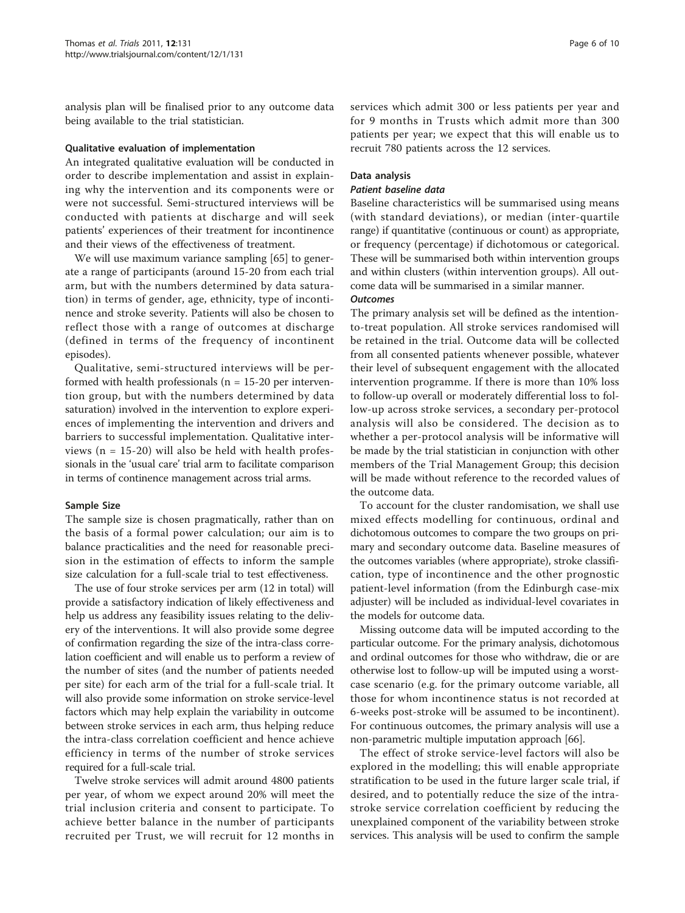analysis plan will be finalised prior to any outcome data being available to the trial statistician.

#### Qualitative evaluation of implementation

An integrated qualitative evaluation will be conducted in order to describe implementation and assist in explaining why the intervention and its components were or were not successful. Semi-structured interviews will be conducted with patients at discharge and will seek patients' experiences of their treatment for incontinence and their views of the effectiveness of treatment.

We will use maximum variance sampling [[65\]](#page-9-0) to generate a range of participants (around 15-20 from each trial arm, but with the numbers determined by data saturation) in terms of gender, age, ethnicity, type of incontinence and stroke severity. Patients will also be chosen to reflect those with a range of outcomes at discharge (defined in terms of the frequency of incontinent episodes).

Qualitative, semi-structured interviews will be performed with health professionals ( $n = 15-20$  per intervention group, but with the numbers determined by data saturation) involved in the intervention to explore experiences of implementing the intervention and drivers and barriers to successful implementation. Qualitative interviews ( $n = 15-20$ ) will also be held with health professionals in the 'usual care' trial arm to facilitate comparison in terms of continence management across trial arms.

#### Sample Size

The sample size is chosen pragmatically, rather than on the basis of a formal power calculation; our aim is to balance practicalities and the need for reasonable precision in the estimation of effects to inform the sample size calculation for a full-scale trial to test effectiveness.

The use of four stroke services per arm (12 in total) will provide a satisfactory indication of likely effectiveness and help us address any feasibility issues relating to the delivery of the interventions. It will also provide some degree of confirmation regarding the size of the intra-class correlation coefficient and will enable us to perform a review of the number of sites (and the number of patients needed per site) for each arm of the trial for a full-scale trial. It will also provide some information on stroke service-level factors which may help explain the variability in outcome between stroke services in each arm, thus helping reduce the intra-class correlation coefficient and hence achieve efficiency in terms of the number of stroke services required for a full-scale trial.

Twelve stroke services will admit around 4800 patients per year, of whom we expect around 20% will meet the trial inclusion criteria and consent to participate. To achieve better balance in the number of participants recruited per Trust, we will recruit for 12 months in services which admit 300 or less patients per year and for 9 months in Trusts which admit more than 300 patients per year; we expect that this will enable us to recruit 780 patients across the 12 services.

#### Data analysis

#### Patient baseline data

Baseline characteristics will be summarised using means (with standard deviations), or median (inter-quartile range) if quantitative (continuous or count) as appropriate, or frequency (percentage) if dichotomous or categorical. These will be summarised both within intervention groups and within clusters (within intervention groups). All outcome data will be summarised in a similar manner. **Outcomes** 

The primary analysis set will be defined as the intentionto-treat population. All stroke services randomised will be retained in the trial. Outcome data will be collected from all consented patients whenever possible, whatever their level of subsequent engagement with the allocated intervention programme. If there is more than 10% loss to follow-up overall or moderately differential loss to follow-up across stroke services, a secondary per-protocol analysis will also be considered. The decision as to whether a per-protocol analysis will be informative will be made by the trial statistician in conjunction with other members of the Trial Management Group; this decision will be made without reference to the recorded values of the outcome data.

To account for the cluster randomisation, we shall use mixed effects modelling for continuous, ordinal and dichotomous outcomes to compare the two groups on primary and secondary outcome data. Baseline measures of the outcomes variables (where appropriate), stroke classification, type of incontinence and the other prognostic patient-level information (from the Edinburgh case-mix adjuster) will be included as individual-level covariates in the models for outcome data.

Missing outcome data will be imputed according to the particular outcome. For the primary analysis, dichotomous and ordinal outcomes for those who withdraw, die or are otherwise lost to follow-up will be imputed using a worstcase scenario (e.g. for the primary outcome variable, all those for whom incontinence status is not recorded at 6-weeks post-stroke will be assumed to be incontinent). For continuous outcomes, the primary analysis will use a non-parametric multiple imputation approach [\[66\]](#page-9-0).

The effect of stroke service-level factors will also be explored in the modelling; this will enable appropriate stratification to be used in the future larger scale trial, if desired, and to potentially reduce the size of the intrastroke service correlation coefficient by reducing the unexplained component of the variability between stroke services. This analysis will be used to confirm the sample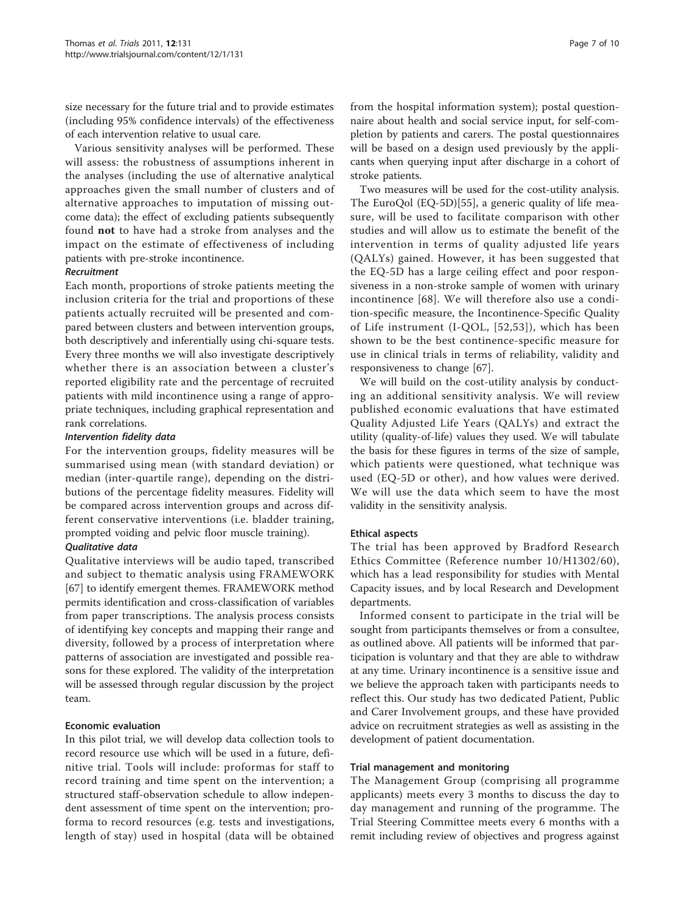size necessary for the future trial and to provide estimates (including 95% confidence intervals) of the effectiveness of each intervention relative to usual care.

Various sensitivity analyses will be performed. These will assess: the robustness of assumptions inherent in the analyses (including the use of alternative analytical approaches given the small number of clusters and of alternative approaches to imputation of missing outcome data); the effect of excluding patients subsequently found not to have had a stroke from analyses and the impact on the estimate of effectiveness of including patients with pre-stroke incontinence.

#### Recruitment

Each month, proportions of stroke patients meeting the inclusion criteria for the trial and proportions of these patients actually recruited will be presented and compared between clusters and between intervention groups, both descriptively and inferentially using chi-square tests. Every three months we will also investigate descriptively whether there is an association between a cluster's reported eligibility rate and the percentage of recruited patients with mild incontinence using a range of appropriate techniques, including graphical representation and rank correlations.

#### Intervention fidelity data

For the intervention groups, fidelity measures will be summarised using mean (with standard deviation) or median (inter-quartile range), depending on the distributions of the percentage fidelity measures. Fidelity will be compared across intervention groups and across different conservative interventions (i.e. bladder training, prompted voiding and pelvic floor muscle training).

## Qualitative data

Qualitative interviews will be audio taped, transcribed and subject to thematic analysis using FRAMEWORK [[67\]](#page-9-0) to identify emergent themes. FRAMEWORK method permits identification and cross-classification of variables from paper transcriptions. The analysis process consists of identifying key concepts and mapping their range and diversity, followed by a process of interpretation where patterns of association are investigated and possible reasons for these explored. The validity of the interpretation will be assessed through regular discussion by the project team.

## Economic evaluation

In this pilot trial, we will develop data collection tools to record resource use which will be used in a future, definitive trial. Tools will include: proformas for staff to record training and time spent on the intervention; a structured staff-observation schedule to allow independent assessment of time spent on the intervention; proforma to record resources (e.g. tests and investigations, length of stay) used in hospital (data will be obtained Page 7 of 10

from the hospital information system); postal questionnaire about health and social service input, for self-completion by patients and carers. The postal questionnaires will be based on a design used previously by the applicants when querying input after discharge in a cohort of stroke patients.

Two measures will be used for the cost-utility analysis. The EuroQol (EQ-5D)[[55\]](#page-8-0), a generic quality of life measure, will be used to facilitate comparison with other studies and will allow us to estimate the benefit of the intervention in terms of quality adjusted life years (QALYs) gained. However, it has been suggested that the EQ-5D has a large ceiling effect and poor responsiveness in a non-stroke sample of women with urinary incontinence [[68\]](#page-9-0). We will therefore also use a condition-specific measure, the Incontinence-Specific Quality of Life instrument (I-QOL, [[52,53\]](#page-8-0)), which has been shown to be the best continence-specific measure for use in clinical trials in terms of reliability, validity and responsiveness to change [\[67](#page-9-0)].

We will build on the cost-utility analysis by conducting an additional sensitivity analysis. We will review published economic evaluations that have estimated Quality Adjusted Life Years (QALYs) and extract the utility (quality-of-life) values they used. We will tabulate the basis for these figures in terms of the size of sample, which patients were questioned, what technique was used (EQ-5D or other), and how values were derived. We will use the data which seem to have the most validity in the sensitivity analysis.

## Ethical aspects

The trial has been approved by Bradford Research Ethics Committee (Reference number 10/H1302/60), which has a lead responsibility for studies with Mental Capacity issues, and by local Research and Development departments.

Informed consent to participate in the trial will be sought from participants themselves or from a consultee, as outlined above. All patients will be informed that participation is voluntary and that they are able to withdraw at any time. Urinary incontinence is a sensitive issue and we believe the approach taken with participants needs to reflect this. Our study has two dedicated Patient, Public and Carer Involvement groups, and these have provided advice on recruitment strategies as well as assisting in the development of patient documentation.

#### Trial management and monitoring

The Management Group (comprising all programme applicants) meets every 3 months to discuss the day to day management and running of the programme. The Trial Steering Committee meets every 6 months with a remit including review of objectives and progress against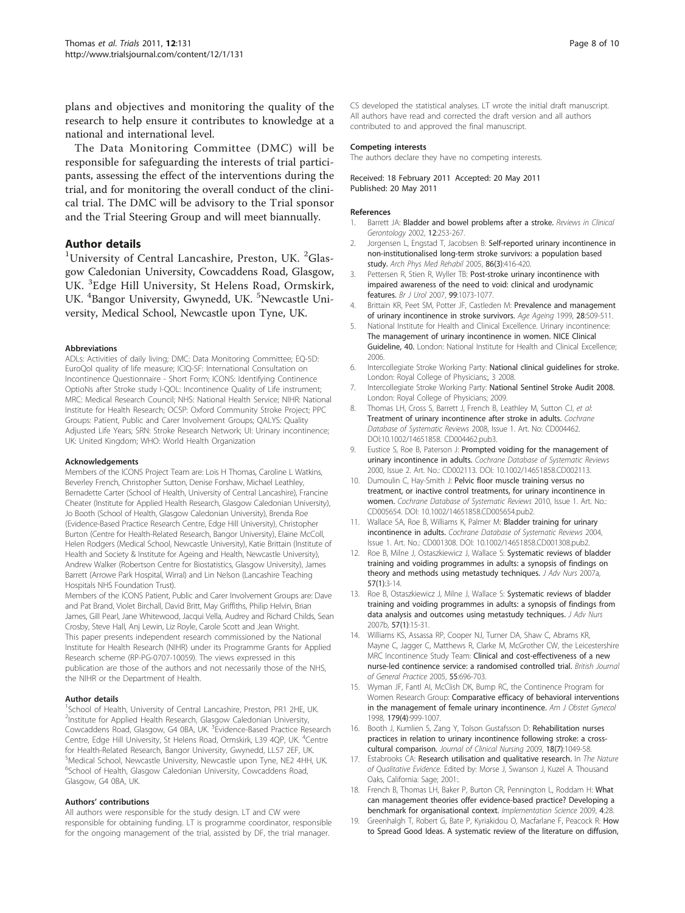<span id="page-7-0"></span>plans and objectives and monitoring the quality of the research to help ensure it contributes to knowledge at a national and international level.

The Data Monitoring Committee (DMC) will be responsible for safeguarding the interests of trial participants, assessing the effect of the interventions during the trial, and for monitoring the overall conduct of the clinical trial. The DMC will be advisory to the Trial sponsor and the Trial Steering Group and will meet biannually.

#### Author details

<sup>1</sup>University of Central Lancashire, Preston, UK. <sup>2</sup>Glasgow Caledonian University, Cowcaddens Road, Glasgow, UK. <sup>3</sup>Edge Hill University, St Helens Road, Ormskirk, UK. <sup>4</sup>Bangor University, Gwynedd, UK. <sup>5</sup>Newcastle University, Medical School, Newcastle upon Tyne, UK.

#### **Abbreviations**

ADLs: Activities of daily living; DMC: Data Monitoring Committee; EQ-5D: EuroQol quality of life measure; ICIQ-SF: International Consultation on Incontinence Questionnaire - Short Form; ICONS: Identifying Continence OptioNs after Stroke study I-QOL: Incontinence Quality of Life instrument; MRC: Medical Research Council; NHS: National Health Service; NIHR: National Institute for Health Research; OCSP: Oxford Community Stroke Project; PPC Groups: Patient, Public and Carer Involvement Groups; QALYS: Quality Adjusted Life Years; SRN: Stroke Research Network; UI: Urinary incontinence; UK: United Kingdom; WHO: World Health Organization

#### Acknowledgements

Members of the ICONS Project Team are: Lois H Thomas, Caroline L Watkins, Beverley French, Christopher Sutton, Denise Forshaw, Michael Leathley, Bernadette Carter (School of Health, University of Central Lancashire), Francine Cheater (Institute for Applied Health Research, Glasgow Caledonian University), Jo Booth (School of Health, Glasgow Caledonian University), Brenda Roe (Evidence-Based Practice Research Centre, Edge Hill University), Christopher Burton (Centre for Health-Related Research, Bangor University), Elaine McColl, Helen Rodgers (Medical School, Newcastle University), Katie Brittain (Institute of Health and Society & Institute for Ageing and Health, Newcastle University), Andrew Walker (Robertson Centre for Biostatistics, Glasgow University), James Barrett (Arrowe Park Hospital, Wirral) and Lin Nelson (Lancashire Teaching Hospitals NHS Foundation Trust).

Members of the ICONS Patient, Public and Carer Involvement Groups are: Dave and Pat Brand, Violet Birchall, David Britt, May Griffiths, Philip Helvin, Brian James, Gill Pearl, Jane Whitewood, Jacqui Vella, Audrey and Richard Childs, Sean Crosby, Steve Hall, Anj Lewin, Liz Royle, Carole Scott and Jean Wright. This paper presents independent research commissioned by the National Institute for Health Research (NIHR) under its Programme Grants for Applied Research scheme (RP-PG-0707-10059). The views expressed in this publication are those of the authors and not necessarily those of the NHS, the NIHR or the Department of Health.

#### Author details

<sup>1</sup>School of Health, University of Central Lancashire, Preston, PR1 2HE, UK <sup>2</sup>Institute for Applied Health Research, Glasgow Caledonian University, Cowcaddens Road, Glasgow, G4 0BA, UK. <sup>3</sup>Evidence-Based Practice Research Centre, Edge Hill University, St Helens Road, Ormskirk, L39 4QP, UK. <sup>4</sup>Centre for Health-Related Research, Bangor University, Gwynedd, LL57 2EF, UK. 5 Medical School, Newcastle University, Newcastle upon Tyne, NE2 4HH, UK. 6 School of Health, Glasgow Caledonian University, Cowcaddens Road, Glasgow, G4 0BA, UK.

#### Authors' contributions

All authors were responsible for the study design. LT and CW were responsible for obtaining funding. LT is programme coordinator, responsible for the ongoing management of the trial, assisted by DF, the trial manager.

CS developed the statistical analyses. LT wrote the initial draft manuscript. All authors have read and corrected the draft version and all authors contributed to and approved the final manuscript.

#### Competing interests

The authors declare they have no competing interests.

Received: 18 February 2011 Accepted: 20 May 2011 Published: 20 May 2011

#### References

- 1. Barrett JA: Bladder and bowel problems after a stroke. Reviews in Clinical Gerontology 2002, 12:253-267.
- 2. Jorgensen L, Engstad T, Jacobsen B: [Self-reported urinary incontinence in](http://www.ncbi.nlm.nih.gov/pubmed/15759221?dopt=Abstract) [non-institutionalised long-term stroke survivors: a population based](http://www.ncbi.nlm.nih.gov/pubmed/15759221?dopt=Abstract) [study.](http://www.ncbi.nlm.nih.gov/pubmed/15759221?dopt=Abstract) Arch Phys Med Rehabil 2005, 86(3):416-420.
- 3. Pettersen R, Stien R, Wyller TB: Post-stroke urinary incontinence with impaired awareness of the need to void: clinical and urodynamic features. Br J Urol 2007, 99:1073-1077.
- 4. Brittain KR, Peet SM, Potter JF, Castleden M: [Prevalence and management](http://www.ncbi.nlm.nih.gov/pubmed/10604500?dopt=Abstract) [of urinary incontinence in stroke survivors.](http://www.ncbi.nlm.nih.gov/pubmed/10604500?dopt=Abstract) Age Ageing 1999, 28:509-511.
- 5. National Institute for Health and Clinical Excellence. Urinary incontinence: The management of urinary incontinence in women. NICE Clinical Guideline, 40. London: National Institute for Health and Clinical Excellence; 2006.
- 6. Intercollegiate Stroke Working Party: National clinical guidelines for stroke. London: Royal College of Physicians;, 3 2008.
- 7. Intercollegiate Stroke Working Party: National Sentinel Stroke Audit 2008. London: Royal College of Physicians; 2009.
- 8. Thomas LH, Cross S, Barrett J, French B, Leathley M, Sutton CJ, et al: Treatment of urinary incontinence after stroke in adults. Cochrane Database of Systematic Reviews 2008, Issue 1. Art. No: CD004462. DOI:10.1002/14651858. CD004462.pub3.
- 9. Eustice S, Roe B, Paterson J: Prompted voiding for the management of urinary incontinence in adults. Cochrane Database of Systematic Reviews 2000, Issue 2. Art. No.: CD002113. DOI: 10.1002/14651858.CD002113.
- 10. Dumoulin C, Hay-Smith J: Pelvic floor muscle training versus no treatment, or inactive control treatments, for urinary incontinence in women. Cochrane Database of Systematic Reviews 2010, Issue 1. Art. No.: CD005654. DOI: 10.1002/14651858.CD005654.pub2.
- 11. Wallace SA, Roe B, Williams K, Palmer M: Bladder training for urinary incontinence in adults. Cochrane Database of Systematic Reviews 2004, Issue 1. Art. No.: CD001308. DOI: 10.1002/14651858.CD001308.pub2.
- 12. Roe B, Milne J, Ostaszkiewicz J, Wallace S: Systematic reviews of bladder training and voiding programmes in adults: a synopsis of findings on theory and methods using metastudy techniques. J Adv Nurs 2007a, 57(1):3-14.
- 13. Roe B, Ostaszkiewicz J, Milne J, Wallace S: Systematic reviews of bladder training and voiding programmes in adults: a synopsis of findings from data analysis and outcomes using metastudy techniques. J Adv Nurs 2007b, 57(1):15-31.
- 14. Williams KS, Assassa RP, Cooper NJ, Turner DA, Shaw C, Abrams KR, Mayne C, Jagger C, Matthews R, Clarke M, McGrother CW, the Leicestershire MRC Incontinence Study Team: [Clinical and cost-effectiveness of a new](http://www.ncbi.nlm.nih.gov/pubmed/16176737?dopt=Abstract) [nurse-led continence service: a randomised controlled trial.](http://www.ncbi.nlm.nih.gov/pubmed/16176737?dopt=Abstract) British Journal of General Practice 2005, 55:696-703.
- 15. Wyman JF, Fantl AI, McClish DK, Bump RC, the Continence Program for Women Research Group: [Comparative efficacy of behavioral interventions](http://www.ncbi.nlm.nih.gov/pubmed/9790388?dopt=Abstract) [in the management of female urinary incontinence.](http://www.ncbi.nlm.nih.gov/pubmed/9790388?dopt=Abstract) Am J Obstet Gynecol 1998, 179(4):999-1007.
- 16. Booth J, Kumlien S, Zang Y, Tolson Gustafsson D: [Rehabilitation nurses](http://www.ncbi.nlm.nih.gov/pubmed/19284437?dopt=Abstract) [practices in relation to urinary incontinence following stroke: a cross](http://www.ncbi.nlm.nih.gov/pubmed/19284437?dopt=Abstract)[cultural comparison.](http://www.ncbi.nlm.nih.gov/pubmed/19284437?dopt=Abstract) Journal of Clinical Nursing 2009, 18(7):1049-58.
- 17. Estabrooks CA: Research utilisation and qualitative research. In The Nature of Qualitative Evidence. Edited by: Morse J, Swanson J, Kuzel A. Thousand Oaks, California: Sage; 2001:.
- 18. French B, Thomas LH, Baker P, Burton CR, Pennington L, Roddam H: [What](http://www.ncbi.nlm.nih.gov/pubmed/19454008?dopt=Abstract) [can management theories offer evidence-based practice? Developing a](http://www.ncbi.nlm.nih.gov/pubmed/19454008?dopt=Abstract) [benchmark for organisational context.](http://www.ncbi.nlm.nih.gov/pubmed/19454008?dopt=Abstract) Implementation Science 2009, 4:28.
- 19. Greenhalgh T, Robert G, Bate P, Kyriakidou O, Macfarlane F, Peacock R: How to Spread Good Ideas. A systematic review of the literature on diffusion,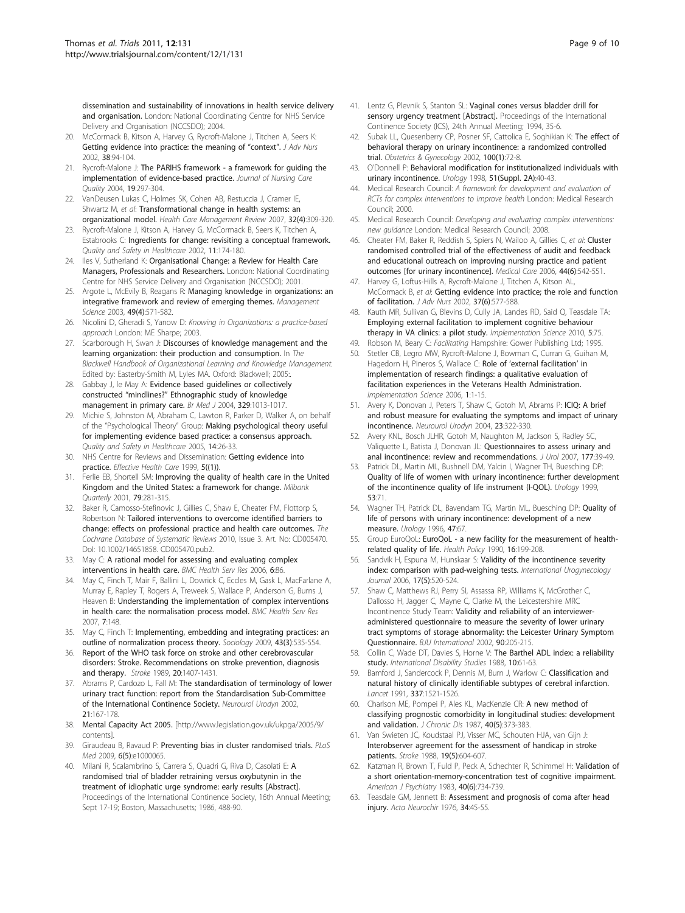<span id="page-8-0"></span>dissemination and sustainability of innovations in health service delivery and organisation. London: National Coordinating Centre for NHS Service Delivery and Organisation (NCCSDO); 2004.

- 20. McCormack B, Kitson A, Harvey G, Rycroft-Malone J, Titchen A, Seers K: [Getting evidence into practice: the meaning of](http://www.ncbi.nlm.nih.gov/pubmed/11895535?dopt=Abstract) "context". J Adv Nurs 2002, 38:94-104.
- 21. Rycroft-Malone J: The PARIHS framework a framework for quiding the [implementation of evidence-based practice.](http://www.ncbi.nlm.nih.gov/pubmed/15535533?dopt=Abstract) Journal of Nursing Care Quality 2004, 19:297-304.
- 22. VanDeusen Lukas C, Holmes SK, Cohen AB, Restuccia J, Cramer IE, Shwartz M, et al: [Transformational change in health systems: an](http://www.ncbi.nlm.nih.gov/pubmed/18075440?dopt=Abstract) [organizational model.](http://www.ncbi.nlm.nih.gov/pubmed/18075440?dopt=Abstract) Health Care Management Review 2007, 32(4):309-320.
- 23. Rycroft-Malone J, Kitson A, Harvey G, McCormack B, Seers K, Titchen A, Estabrooks C: Ingredients for change: revisiting a conceptual framework. Quality and Safety in Healthcare 2002, 11:174-180.
- 24. Iles V, Sutherland K: Organisational Change: a Review for Health Care Managers, Professionals and Researchers. London: National Coordinating Centre for NHS Service Delivery and Organisation (NCCSDO); 2001.
- 25. Argote L, McEvily B, Reagans R: Managing knowledge in organizations: an integrative framework and review of emerging themes. Management Science 2003, 49(4):571-582.
- 26. Nicolini D, Gheradi S, Yanow D: Knowing in Organizations: a practice-based approach London: ME Sharpe; 2003.
- 27. Scarborough H, Swan J: Discourses of knowledge management and the learning organization: their production and consumption. In The Blackwell Handbook of Organizational Learning and Knowledge Management. Edited by: Easterby-Smith M, Lyles MA. Oxford: Blackwell; 2005:.
- 28. Gabbay J, le May A: Evidence based quidelines or collectively constructed "mindlines?" Ethnographic study of knowledge management in primary care. Br Med J 2004, 329:1013-1017.
- 29. Michie S, Johnston M, Abraham C, Lawton R, Parker D, Walker A, on behalf of the "Psychological Theory" Group: Making psychological theory useful for implementing evidence based practice: a consensus approach. Quality and Safety in Healthcare 2005, 14:26-33.
- 30. NHS Centre for Reviews and Dissemination: Getting evidence into practice. Effective Health Care 1999, 5((1)).
- 31. Ferlie EB, Shortell SM: [Improving the quality of health care in the United](http://www.ncbi.nlm.nih.gov/pubmed/11439467?dopt=Abstract) [Kingdom and the United States: a framework for change.](http://www.ncbi.nlm.nih.gov/pubmed/11439467?dopt=Abstract) Milbank Quarterly 2001, 79:281-315.
- 32. Baker R, Camosso-Stefinovic J, Gillies C, Shaw E, Cheater FM, Flottorp S, Robertson N: Tailored interventions to overcome identified barriers to change: effects on professional practice and health care outcomes. The Cochrane Database of Systematic Reviews 2010, Issue 3. Art. No: CD005470. DoI: 10.1002/14651858. CD005470.pub2.
- 33. May C: [A rational model for assessing and evaluating complex](http://www.ncbi.nlm.nih.gov/pubmed/16827928?dopt=Abstract) [interventions in health care.](http://www.ncbi.nlm.nih.gov/pubmed/16827928?dopt=Abstract) BMC Health Serv Res 2006, 6:86.
- 34. May C, Finch T, Mair F, Ballini L, Dowrick C, Eccles M, Gask L, MacFarlane A, Murray E, Rapley T, Rogers A, Treweek S, Wallace P, Anderson G, Burns J, Heaven B: [Understanding the implementation of complex interventions](http://www.ncbi.nlm.nih.gov/pubmed/17880693?dopt=Abstract) [in health care: the normalisation process model.](http://www.ncbi.nlm.nih.gov/pubmed/17880693?dopt=Abstract) BMC Health Serv Res 2007, 7:148.
- 35. May C, Finch T: Implementing, embedding and integrating practices: an outline of normalization process theory. Sociology 2009, 43(3):535-554.
- 36. Report of the WHO task force on stroke and other cerebrovascular disorders: Stroke. Recommendations on stroke prevention, diagnosis and therapy. Stroke 1989, 20:1407-1431.
- 37. Abrams P, Cardozo L, Fall M: [The standardisation of terminology of lower](http://www.ncbi.nlm.nih.gov/pubmed/11857671?dopt=Abstract) [urinary tract function: report from the Standardisation Sub-Committee](http://www.ncbi.nlm.nih.gov/pubmed/11857671?dopt=Abstract) [of the International Continence Society.](http://www.ncbi.nlm.nih.gov/pubmed/11857671?dopt=Abstract) Neurourol Urodyn 2002, 21:167-178.
- 38. Mental Capacity Act 2005. [\[http://www.legislation.gov.uk/ukpga/2005/9/](http://www.legislation.gov.uk/ukpga/2005/9/contents) [contents](http://www.legislation.gov.uk/ukpga/2005/9/contents)].
- Giraudeau B, Ravaud P: [Preventing bias in cluster randomised trials.](http://www.ncbi.nlm.nih.gov/pubmed/19536323?dopt=Abstract) PLoS Med 2009, 6(5):e1000065.
- 40. Milani R, Scalambrino S, Carrera S, Quadri G, Riva D, Casolati E: A randomised trial of bladder retraining versus oxybutynin in the treatment of idiophatic urge syndrome: early results [Abstract]. Proceedings of the International Continence Society, 16th Annual Meeting; Sept 17-19; Boston, Massachusetts; 1986, 488-90.
- 41. Lentz G, Plevnik S, Stanton SL: Vaginal cones versus bladder drill for sensory urgency treatment [Abstract]. Proceedings of the International Continence Society (ICS), 24th Annual Meeting; 1994, 35-6.
- 42. Subak LL, Quesenberry CP, Posner SF, Cattolica E, Soghikian K: [The effect of](http://www.ncbi.nlm.nih.gov/pubmed/21604421?dopt=Abstract) [behavioral therapy on urinary incontinence: a randomized controlled](http://www.ncbi.nlm.nih.gov/pubmed/21604421?dopt=Abstract) [trial.](http://www.ncbi.nlm.nih.gov/pubmed/21604421?dopt=Abstract) Obstetrics & Gynecology 2002, 100(1):72-8.
- 43. O'Donnell P: [Behavioral modification for institutionalized individuals with](http://www.ncbi.nlm.nih.gov/pubmed/9495735?dopt=Abstract) [urinary incontinence.](http://www.ncbi.nlm.nih.gov/pubmed/9495735?dopt=Abstract) Urology 1998, 51(Suppl. 2A):40-43.
- 44. Medical Research Council: A framework for development and evaluation of RCTs for complex interventions to improve health London: Medical Research Council; 2000.
- 45. Medical Research Council: Developing and evaluating complex interventions: new guidance London: Medical Research Council; 2008.
- 46. Cheater FM, Baker R, Reddish S, Spiers N, Wailoo A, Gillies C, et al: [Cluster](http://www.ncbi.nlm.nih.gov/pubmed/16708003?dopt=Abstract) [randomised controlled trial of the effectiveness of audit and feedback](http://www.ncbi.nlm.nih.gov/pubmed/16708003?dopt=Abstract) [and educational outreach on improving nursing practice and patient](http://www.ncbi.nlm.nih.gov/pubmed/16708003?dopt=Abstract) [outcomes \[for urinary incontinence\].](http://www.ncbi.nlm.nih.gov/pubmed/16708003?dopt=Abstract) Medical Care 2006, 44(6):542-551.
- 47. Harvey G, Loftus-Hills A, Rycroft-Malone J, Titchen A, Kitson AL, McCormack B, et al: [Getting evidence into practice; the role and function](http://www.ncbi.nlm.nih.gov/pubmed/11879422?dopt=Abstract) of [facilitation.](http://www.ncbi.nlm.nih.gov/pubmed/11879422?dopt=Abstract) J Adv Nurs 2002, 37(6):577-588.
- 48. Kauth MR, Sullivan G, Blevins D, Cully JA, Landes RD, Said Q, Teasdale TA: [Employing external facilitation to implement cognitive behaviour](http://www.ncbi.nlm.nih.gov/pubmed/20942951?dopt=Abstract) [therapy in VA clinics: a pilot study.](http://www.ncbi.nlm.nih.gov/pubmed/20942951?dopt=Abstract) Implementation Science 2010, 5:75.
- 49. Robson M, Beary C: Facilitating Hampshire: Gower Publishing Ltd; 1995.
- 50. Stetler CB, Legro MW, Rycroft-Malone J, Bowman C, Curran G, Guihan M, Hagedorn H, Pineros S, Wallace C: Role of 'external facilitation' in implementation of research findings: a qualitative evaluation of facilitation experiences in the Veterans Health Administration. Implementation Science 2006, 1:1-15.
- 51. Avery K, Donovan J, Peters T, Shaw C, Gotoh M, Abrams P: [ICIQ: A brief](http://www.ncbi.nlm.nih.gov/pubmed/15227649?dopt=Abstract) [and robust measure for evaluating the symptoms and impact of urinary](http://www.ncbi.nlm.nih.gov/pubmed/15227649?dopt=Abstract) [incontinence.](http://www.ncbi.nlm.nih.gov/pubmed/15227649?dopt=Abstract) Neurourol Urodyn 2004, 23:322-330.
- 52. Avery KNL, Bosch JLHR, Gotoh M, Naughton M, Jackson S, Radley SC, Valiquette L, Batista J, Donovan JL: [Questionnaires to assess urinary and](http://www.ncbi.nlm.nih.gov/pubmed/17161997?dopt=Abstract) [anal incontinence: review and recommendations.](http://www.ncbi.nlm.nih.gov/pubmed/17161997?dopt=Abstract) J Urol 2007, 177:39-49.
- 53. Patrick DL, Martin ML, Bushnell DM, Yalcin I, Wagner TH, Buesching DP: [Quality of life of women with urinary incontinence: further development](http://www.ncbi.nlm.nih.gov/pubmed/9886591?dopt=Abstract) [of the incontinence quality of life instrument \(I-QOL\).](http://www.ncbi.nlm.nih.gov/pubmed/9886591?dopt=Abstract) Urology 1999, 53:71.
- 54. Wagner TH, Patrick DL, Bavendam TG, Martin ML, Buesching DP: [Quality of](http://www.ncbi.nlm.nih.gov/pubmed/8560665?dopt=Abstract) [life of persons with urinary incontinence: development of a new](http://www.ncbi.nlm.nih.gov/pubmed/8560665?dopt=Abstract) [measure.](http://www.ncbi.nlm.nih.gov/pubmed/8560665?dopt=Abstract) Urology 1996, 47:67.
- 55. Group EuroQoL: [EuroQoL a new facility for the measurement of health](http://www.ncbi.nlm.nih.gov/pubmed/10109801?dopt=Abstract)[related quality of life.](http://www.ncbi.nlm.nih.gov/pubmed/10109801?dopt=Abstract) Health Policy 1990, 16:199-208.
- 56. Sandvik H, Espuna M, Hunskaar S: [Validity of the incontinence severity](http://www.ncbi.nlm.nih.gov/pubmed/16547687?dopt=Abstract) [index: comparison with pad-weighing tests.](http://www.ncbi.nlm.nih.gov/pubmed/16547687?dopt=Abstract) International Urogynecology Journal 2006, 17(5):520-524.
- 57. Shaw C, Matthews RJ, Perry SI, Assassa RP, Williams K, McGrother C, Dallosso H, Jagger C, Mayne C, Clarke M, the Leicestershire MRC Incontinence Study Team: [Validity and reliability of an interviewer](http://www.ncbi.nlm.nih.gov/pubmed/12133054?dopt=Abstract)[administered questionnaire to measure the severity of lower urinary](http://www.ncbi.nlm.nih.gov/pubmed/12133054?dopt=Abstract) [tract symptoms of storage abnormality: the Leicester Urinary Symptom](http://www.ncbi.nlm.nih.gov/pubmed/12133054?dopt=Abstract) [Questionnaire.](http://www.ncbi.nlm.nih.gov/pubmed/12133054?dopt=Abstract) BJU International 2002, 90:205-215.
- 58. Collin C, Wade DT, Davies S, Horne V: [The Barthel ADL index: a reliability](http://www.ncbi.nlm.nih.gov/pubmed/3403500?dopt=Abstract) [study.](http://www.ncbi.nlm.nih.gov/pubmed/3403500?dopt=Abstract) International Disability Studies 1988, 10:61-63.
- 59. Bamford J, Sandercock P, Dennis M, Burn J, Warlow C: [Classification and](http://www.ncbi.nlm.nih.gov/pubmed/1675378?dopt=Abstract) [natural history of clinically identifiable subtypes of cerebral infarction.](http://www.ncbi.nlm.nih.gov/pubmed/1675378?dopt=Abstract) Lancet 1991, 337:1521-1526.
- 60. Charlson ME, Pompei P, Ales KL, MacKenzie CR: [A new method of](http://www.ncbi.nlm.nih.gov/pubmed/3558716?dopt=Abstract) [classifying prognostic comorbidity in longitudinal studies: development](http://www.ncbi.nlm.nih.gov/pubmed/3558716?dopt=Abstract) [and validation.](http://www.ncbi.nlm.nih.gov/pubmed/3558716?dopt=Abstract) J Chronic Dis 1987, 40(5):373-383.
- 61. Van Swieten JC, Koudstaal PJ, Visser MC, Schouten HJA, van Gijn J: Interobserver [agreement for the assessment of handicap in stroke](http://www.ncbi.nlm.nih.gov/pubmed/3363593?dopt=Abstract) [patients.](http://www.ncbi.nlm.nih.gov/pubmed/3363593?dopt=Abstract) Stroke 1988, 19(5):604-607.
- 62. Katzman R, Brown T, Fuld P, Peck A, Schechter R, Schimmel H: Validation of a short orientation-memory-concentration test of cognitive impairment. American J Psychiatry 1983, 40(6):734-739.
- 63. Teasdale GM, Jennett B: Assessment and prognosis of coma after head injury. Acta Neurochir 1976, 34:45-55.